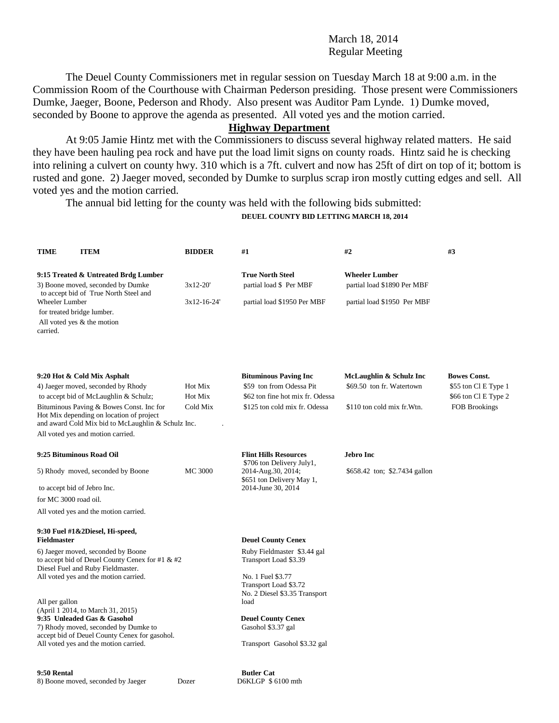### March 18, 2014 Regular Meeting

The Deuel County Commissioners met in regular session on Tuesday March 18 at 9:00 a.m. in the Commission Room of the Courthouse with Chairman Pederson presiding. Those present were Commissioners Dumke, Jaeger, Boone, Pederson and Rhody. Also present was Auditor Pam Lynde. 1) Dumke moved, seconded by Boone to approve the agenda as presented. All voted yes and the motion carried.

# **Highway Department**

At 9:05 Jamie Hintz met with the Commissioners to discuss several highway related matters. He said they have been hauling pea rock and have put the load limit signs on county roads. Hintz said he is checking into relining a culvert on county hwy. 310 which is a 7ft. culvert and now has 25ft of dirt on top of it; bottom is rusted and gone. 2) Jaeger moved, seconded by Dumke to surplus scrap iron mostly cutting edges and sell. All voted yes and the motion carried.

The annual bid letting for the county was held with the following bids submitted:

#### **DEUEL COUNTY BID LETTING MARCH 18, 2014**

| <b>TIME</b>                                              | <b>ITEM</b>                                                                                                                                                                                                                                                                                   | <b>BIDDER</b>                  | #1                                                                                                                            | #2                                                                                  | #3                                                                                   |
|----------------------------------------------------------|-----------------------------------------------------------------------------------------------------------------------------------------------------------------------------------------------------------------------------------------------------------------------------------------------|--------------------------------|-------------------------------------------------------------------------------------------------------------------------------|-------------------------------------------------------------------------------------|--------------------------------------------------------------------------------------|
|                                                          | 9:15 Treated & Untreated Brdg Lumber<br>3) Boone moved, seconded by Dumke                                                                                                                                                                                                                     | $3x12-20'$                     | <b>True North Steel</b><br>partial load \$ Per MBF                                                                            | <b>Wheeler Lumber</b><br>partial load \$1890 Per MBF                                |                                                                                      |
| Wheeler Lumber<br>for treated bridge lumber.<br>carried. | to accept bid of True North Steel and<br>All voted yes & the motion                                                                                                                                                                                                                           | $3x12-16-24'$                  | partial load \$1950 Per MBF                                                                                                   | partial load \$1950 Per MBF                                                         |                                                                                      |
|                                                          | 9:20 Hot & Cold Mix Asphalt<br>4) Jaeger moved, seconded by Rhody<br>to accept bid of McLaughlin & Schulz;<br>Bituminous Paving & Bowes Const. Inc for<br>Hot Mix depending on location of project<br>and award Cold Mix bid to McLaughlin & Schulz Inc.<br>All voted yes and motion carried. | Hot Mix<br>Hot Mix<br>Cold Mix | <b>Bituminous Paving Inc</b><br>\$59 ton from Odessa Pit<br>\$62 ton fine hot mix fr. Odessa<br>\$125 ton cold mix fr. Odessa | McLaughlin & Schulz Inc<br>\$69.50 ton fr. Watertown<br>\$110 ton cold mix fr. Wtn. | <b>Bowes Const.</b><br>\$55 ton Cl E Type 1<br>\$66 ton Cl E Type 2<br>FOB Brookings |
|                                                          | 9:25 Bituminous Road Oil                                                                                                                                                                                                                                                                      |                                | <b>Flint Hills Resources</b>                                                                                                  | <b>Jebro Inc</b>                                                                    |                                                                                      |
| 5) Rhody moved, seconded by Boone                        |                                                                                                                                                                                                                                                                                               | <b>MC 3000</b>                 | \$706 ton Delivery July1,<br>2014-Aug.30, 2014;<br>\$651 ton Delivery May 1,                                                  | \$658.42 ton; \$2.7434 gallon                                                       |                                                                                      |
| to accept bid of Jebro Inc.                              |                                                                                                                                                                                                                                                                                               |                                | 2014-June 30, 2014                                                                                                            |                                                                                     |                                                                                      |
| for MC 3000 road oil.                                    |                                                                                                                                                                                                                                                                                               |                                |                                                                                                                               |                                                                                     |                                                                                      |
|                                                          | All voted yes and the motion carried.                                                                                                                                                                                                                                                         |                                |                                                                                                                               |                                                                                     |                                                                                      |
| <b>Fieldmaster</b>                                       | 9:30 Fuel #1&2Diesel, Hi-speed,                                                                                                                                                                                                                                                               |                                | <b>Deuel County Cenex</b>                                                                                                     |                                                                                     |                                                                                      |
|                                                          | 6) Jaeger moved, seconded by Boone<br>to accept bid of Deuel County Cenex for #1 & #2<br>Diesel Fuel and Ruby Fieldmaster.                                                                                                                                                                    |                                | Ruby Fieldmaster \$3.44 gal<br>Transport Load \$3.39                                                                          |                                                                                     |                                                                                      |
|                                                          | All voted yes and the motion carried.                                                                                                                                                                                                                                                         |                                | No. 1 Fuel \$3.77<br>Transport Load \$3.72<br>No. 2 Diesel \$3.35 Transport                                                   |                                                                                     |                                                                                      |
| All per gallon                                           |                                                                                                                                                                                                                                                                                               |                                | load                                                                                                                          |                                                                                     |                                                                                      |
|                                                          | (April 1 2014, to March 31, 2015)<br>9:35 Unleaded Gas & Gasohol<br>7) Rhody moved, seconded by Dumke to<br>accept bid of Deuel County Cenex for gasohol.                                                                                                                                     |                                | <b>Deuel County Cenex</b><br>Gasohol \$3.37 gal                                                                               |                                                                                     |                                                                                      |
|                                                          | All voted yes and the motion carried.                                                                                                                                                                                                                                                         |                                | Transport Gasohol \$3.32 gal                                                                                                  |                                                                                     |                                                                                      |
|                                                          |                                                                                                                                                                                                                                                                                               |                                |                                                                                                                               |                                                                                     |                                                                                      |
| 9:50 Rental                                              | 8) Boone moved seconded by Jaeger                                                                                                                                                                                                                                                             | Dozer                          | <b>Butler Cat</b><br>D6KI GP \$6100 mth                                                                                       |                                                                                     |                                                                                      |

8) Boone moved, seconded by Jaeger Dozer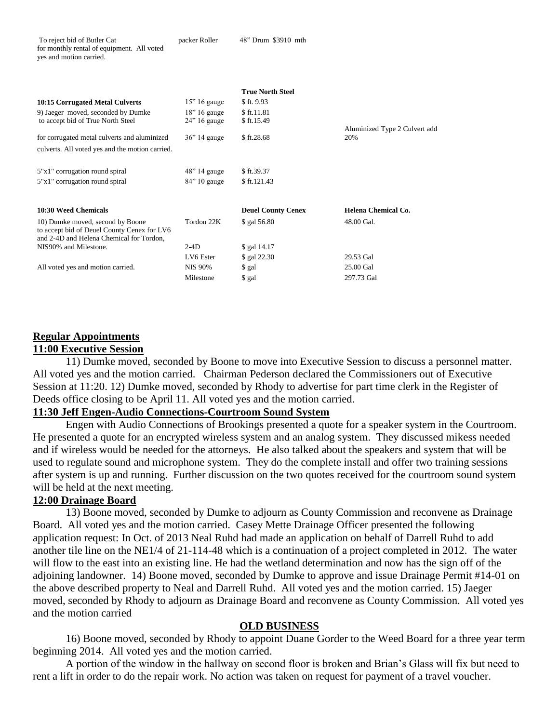|                                                 |                 | <b>True North Steel</b>   |                               |
|-------------------------------------------------|-----------------|---------------------------|-------------------------------|
| 10:15 Corrugated Metal Culverts                 | $15$ " 16 gauge | \$ft. 9.93                |                               |
| 9) Jaeger moved, seconded by Dumke              | $18$ " 16 gauge | \$ft.11.81                |                               |
| to accept bid of True North Steel               | $24$ " 16 gauge | \$ft.15.49                |                               |
|                                                 |                 |                           | Aluminized Type 2 Culvert add |
| for corrugated metal culverts and aluminized    | $36$ " 14 gauge | \$ ft.28.68               | 20%                           |
| culverts. All voted yes and the motion carried. |                 |                           |                               |
|                                                 |                 |                           |                               |
| 5"x1" corrugation round spiral                  | 48" 14 gauge    | \$ft.39.37                |                               |
| 5"x1" corrugation round spiral                  | $84$ " 10 gauge | \$ ft.121.43              |                               |
|                                                 |                 |                           |                               |
|                                                 |                 |                           |                               |
| 10:30 Weed Chemicals                            |                 | <b>Deuel County Cenex</b> | Helena Chemical Co.           |
| 10) Dumke moved, second by Boone                | Tordon 22K      | \$ gal 56.80              | 48.00 Gal.                    |
| to accept bid of Deuel County Cenex for LV6     |                 |                           |                               |
| and 2-4D and Helena Chemical for Tordon,        |                 |                           |                               |
| NIS90% and Milestone.                           | $2-4D$          | \$ gal 14.17              |                               |
|                                                 | LV6 Ester       | \$ gal 22.30              | 29.53 Gal                     |
| All voted yes and motion carried.               | <b>NIS 90%</b>  | \$ gal                    | 25.00 Gal                     |
|                                                 | Milestone       | \$ gal                    | 297.73 Gal                    |

## **Regular Appointments**

#### **11:00 Executive Session**

11) Dumke moved, seconded by Boone to move into Executive Session to discuss a personnel matter. All voted yes and the motion carried. Chairman Pederson declared the Commissioners out of Executive Session at 11:20. 12) Dumke moved, seconded by Rhody to advertise for part time clerk in the Register of Deeds office closing to be April 11. All voted yes and the motion carried.

## **11:30 Jeff Engen-Audio Connections-Courtroom Sound System**

Engen with Audio Connections of Brookings presented a quote for a speaker system in the Courtroom. He presented a quote for an encrypted wireless system and an analog system. They discussed mikess needed and if wireless would be needed for the attorneys. He also talked about the speakers and system that will be used to regulate sound and microphone system. They do the complete install and offer two training sessions after system is up and running. Further discussion on the two quotes received for the courtroom sound system will be held at the next meeting.

## **12:00 Drainage Board**

13) Boone moved, seconded by Dumke to adjourn as County Commission and reconvene as Drainage Board. All voted yes and the motion carried. Casey Mette Drainage Officer presented the following application request: In Oct. of 2013 Neal Ruhd had made an application on behalf of Darrell Ruhd to add another tile line on the NE1/4 of 21-114-48 which is a continuation of a project completed in 2012. The water will flow to the east into an existing line. He had the wetland determination and now has the sign off of the adjoining landowner. 14) Boone moved, seconded by Dumke to approve and issue Drainage Permit #14-01 on the above described property to Neal and Darrell Ruhd. All voted yes and the motion carried. 15) Jaeger moved, seconded by Rhody to adjourn as Drainage Board and reconvene as County Commission. All voted yes and the motion carried

#### **OLD BUSINESS**

16) Boone moved, seconded by Rhody to appoint Duane Gorder to the Weed Board for a three year term beginning 2014. All voted yes and the motion carried.

A portion of the window in the hallway on second floor is broken and Brian's Glass will fix but need to rent a lift in order to do the repair work. No action was taken on request for payment of a travel voucher.